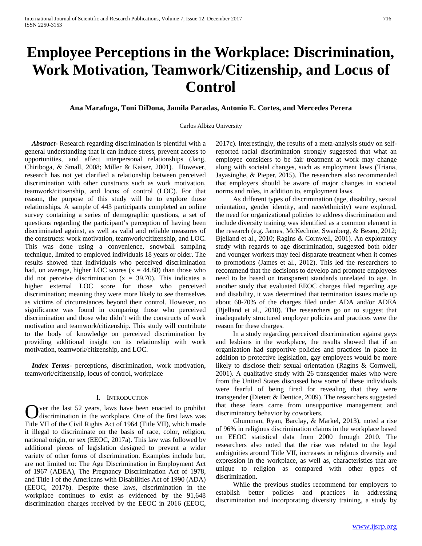# **Employee Perceptions in the Workplace: Discrimination, Work Motivation, Teamwork/Citizenship, and Locus of Control**

**Ana Marafuga, Toni DiDona, Jamila Paradas, Antonio E. Cortes, and Mercedes Perera**

## Carlos Albizu University

 *Abstract***-** Research regarding discrimination is plentiful with a general understanding that it can induce stress, prevent access to opportunities, and affect interpersonal relationships (Jang, Chiriboga, & Small, 2008; Miller & Kaiser, 2001). However, research has not yet clarified a relationship between perceived discrimination with other constructs such as work motivation, teamwork/citizenship, and locus of control (LOC). For that reason, the purpose of this study will be to explore those relationships. A sample of 443 participants completed an online survey containing a series of demographic questions, a set of questions regarding the participant's perception of having been discriminated against, as well as valid and reliable measures of the constructs: work motivation, teamwork/citizenship, and LOC. This was done using a convenience, snowball sampling technique, limited to employed individuals 18 years or older. The results showed that individuals who perceived discrimination had, on average, higher LOC scores  $(x = 44.88)$  than those who did not perceive discrimination  $(x = 39.70)$ . This indicates a higher external LOC score for those who perceived discrimination; meaning they were more likely to see themselves as victims of circumstances beyond their control. However, no significance was found in comparing those who perceived discrimination and those who didn't with the constructs of work motivation and teamwork/citizenship. This study will contribute to the body of knowledge on perceived discrimination by providing additional insight on its relationship with work motivation, teamwork/citizenship, and LOC.

 *Index Terms*- perceptions, discrimination, work motivation, teamwork/citizenship, locus of control, workplace

#### I. INTRODUCTION

ver the last 52 years, laws have been enacted to prohibit discrimination in the workplace. One of the first laws was Over the last 52 years, laws have been enacted to prohibit discrimination in the workplace. One of the first laws was Title VII of the Civil Rights Act of 1964 (Title VII), which made it illegal to discriminate on the basis of race, color, religion, national origin, or sex (EEOC, 2017a). This law was followed by additional pieces of legislation designed to prevent a wider variety of other forms of discrimination. Examples include but, are not limited to: The Age Discrimination in Employment Act of 1967 (ADEA), The Pregnancy Discrimination Act of 1978, and Title I of the Americans with Disabilities Act of 1990 (ADA) (EEOC, 2017b). Despite these laws, discrimination in the workplace continues to exist as evidenced by the 91,648 discrimination charges received by the EEOC in 2016 (EEOC,

2017c). Interestingly, the results of a meta-analysis study on selfreported racial discrimination strongly suggested that what an employee considers to be fair treatment at work may change along with societal changes, such as employment laws (Triana, Jayasinghe, & Pieper, 2015). The researchers also recommended that employers should be aware of major changes in societal norms and rules, in addition to, employment laws.

 As different types of discrimination (age, disability, sexual orientation, gender identity, and race/ethnicity) were explored, the need for organizational policies to address discrimination and include diversity training was identified as a common element in the research (e.g. James, McKechnie, Swanberg, & Besen, 2012; Bjelland et al., 2010; Ragins & Cornwell, 2001). An exploratory study with regards to age discrimination, suggested both older and younger workers may feel disparate treatment when it comes to promotions (James et al., 2012). This led the researchers to recommend that the decisions to develop and promote employees need to be based on transparent standards unrelated to age. In another study that evaluated EEOC charges filed regarding age and disability, it was determined that termination issues made up about 60-70% of the charges filed under ADA and/or ADEA (Bjelland et al., 2010). The researchers go on to suggest that inadequately structured employer policies and practices were the reason for these charges.

 In a study regarding perceived discrimination against gays and lesbians in the workplace, the results showed that if an organization had supportive policies and practices in place in addition to protective legislation, gay employees would be more likely to disclose their sexual orientation (Ragins & Cornwell, 2001). A qualitative study with 26 transgender males who were from the United States discussed how some of these individuals were fearful of being fired for revealing that they were transgender (Dietert & Dentice, 2009). The researchers suggested that these fears came from unsupportive management and discriminatory behavior by coworkers.

 Ghumman, Ryan, Barclay, & Markel, 2013), noted a rise of 96% in religious discrimination claims in the workplace based on EEOC statistical data from 2000 through 2010. The researchers also noted that the rise was related to the legal ambiguities around Title VII, increases in religious diversity and expression in the workplace, as well as, characteristics that are unique to religion as compared with other types of discrimination.

 While the previous studies recommend for employers to establish better policies and practices in addressing discrimination and incorporating diversity training, a study by

[www.ijsrp.org](http://ijsrp.org/)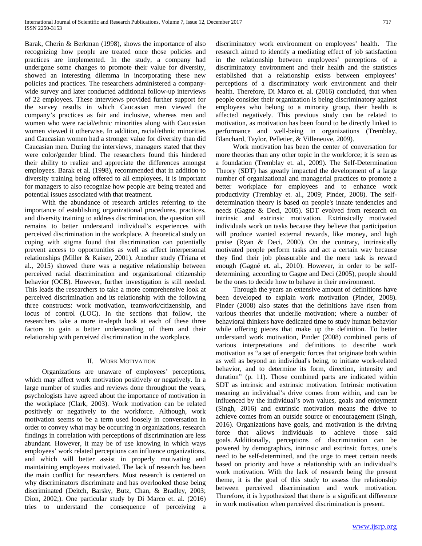Barak, Cherin & Berkman (1998), shows the importance of also recognizing how people are treated once those policies and practices are implemented. In the study, a company had undergone some changes to promote their value for diversity, showed an interesting dilemma in incorporating these new policies and practices. The researchers administered a companywide survey and later conducted additional follow-up interviews of 22 employees. These interviews provided further support for the survey results in which Caucasian men viewed the company's practices as fair and inclusive, whereas men and women who were racial/ethnic minorities along with Caucasian women viewed it otherwise. In addition, racial/ethnic minorities and Caucasian women had a stronger value for diversity than did Caucasian men. During the interviews, managers stated that they were color/gender blind. The researchers found this hindered their ability to realize and appreciate the differences amongst employees. Barak et al. (1998), recommended that in addition to diversity training being offered to all employees, it is important for managers to also recognize how people are being treated and potential issues associated with that treatment.

 With the abundance of research articles referring to the importance of establishing organizational procedures, practices, and diversity training to address discrimination, the question still remains to better understand individual's experiences with perceived discrimination in the workplace. A theoretical study on coping with stigma found that discrimination can potentially prevent access to opportunities as well as affect interpersonal relationships (Miller & Kaiser, 2001). Another study (Triana et al., 2015) showed there was a negative relationship between perceived racial discrimination and organizational citizenship behavior (OCB). However, further investigation is still needed. This leads the researchers to take a more comprehensive look at perceived discrimination and its relationship with the following three constructs: work motivation, teamwork/citizenship, and locus of control (LOC). In the sections that follow, the researchers take a more in-depth look at each of these three factors to gain a better understanding of them and their relationship with perceived discrimination in the workplace.

# II. WORK MOTIVATION

 Organizations are unaware of employees' perceptions, which may affect work motivation positively or negatively. In a large number of studies and reviews done throughout the years, psychologists have agreed about the importance of motivation in the workplace (Clark, 2003). Work motivation can be related positively or negatively to the workforce. Although, work motivation seems to be a term used loosely in conversation in order to convey what may be occurring in organizations, research findings in correlation with perceptions of discrimination are less abundant. However, it may be of use knowing in which ways employees' work related perceptions can influence organizations, and which will better assist in properly motivating and maintaining employees motivated. The lack of research has been the main conflict for researchers. Most research is centered on why discriminators discriminate and has overlooked those being discriminated (Deitch, Barsky, Butz, Chan, & Bradley, 2003; Dion, 2002;). One particular study by Di Marco et. al. (2016) tries to understand the consequence of perceiving a discriminatory work environment on employees' health. The research aimed to identify a mediating effect of job satisfaction in the relationship between employees' perceptions of a discriminatory environment and their health and the statistics established that a relationship exists between employees' perceptions of a discriminatory work environment and their health. Therefore, Di Marco et. al. (2016) concluded, that when people consider their organization is being discriminatory against employees who belong to a minority group, their health is affected negatively. This previous study can be related to motivation, as motivation has been found to be directly linked to performance and well-being in organizations (Tremblay, Blanchard, Taylor, Pelletier, & Villeneuve, 2009).

 Work motivation has been the center of conversation for more theories than any other topic in the workforce; it is seen as a foundation (Tremblay et. al., 2009). The Self-Determination Theory (SDT) has greatly impacted the development of a large number of organizational and managerial practices to promote a better workplace for employees and to enhance work productivity (Tremblay et. al., 2009; Pinder, 2008). The selfdetermination theory is based on people's innate tendencies and needs (Gagne & Deci, 2005). SDT evolved from research on intrinsic and extrinsic motivation. Extrinsically motivated individuals work on tasks because they believe that participation will produce wanted external rewards, like money, and high praise (Ryan & Deci, 2000). On the contrary, intrinsically motivated people perform tasks and act a certain way because they find their job pleasurable and the mere task is reward enough (Gagné et. al., 2010). However, in order to be selfdetermining, according to Gagne and Deci (2005), people should be the ones to decide how to behave in their environment.

 Through the years an extensive amount of definitions have been developed to explain work motivation (Pinder, 2008). Pinder (2008) also states that the definitions have risen from various theories that underlie motivation; where a number of behavioral thinkers have dedicated time to study human behavior while offering pieces that make up the definition. To better understand work motivation, Pinder (2008) combined parts of various interpretations and definitions to describe work motivation as "a set of energetic forces that originate both within as well as beyond an individual's being, to initiate work-related behavior, and to determine its form, direction, intensity and duration" (p. 11). Those combined parts are indicated within SDT as intrinsic and extrinsic motivation. Intrinsic motivation meaning an individual's drive comes from within, and can be influenced by the individual's own values, goals and enjoyment (Singh, 2016) and extrinsic motivation means the drive to achieve comes from an outside source or encouragement (Singh, 2016). Organizations have goals, and motivation is the driving force that allows individuals to achieve those said goals. Additionally, perceptions of discrimination can be powered by demographics, intrinsic and extrinsic forces, one's need to be self-determined, and the urge to meet certain needs based on priority and have a relationship with an individual's work motivation. With the lack of research being the present theme, it is the goal of this study to assess the relationship between perceived discrimination and work motivation. Therefore, it is hypothesized that there is a significant difference in work motivation when perceived discrimination is present.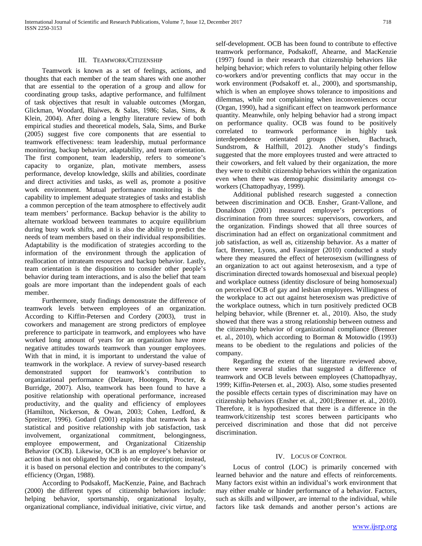## III. TEAMWORK/CITIZENSHIP

 Teamwork is known as a set of feelings, actions, and thoughts that each member of the team shares with one another that are essential to the operation of a group and allow for coordinating group tasks, adaptive performance, and fulfilment of task objectives that result in valuable outcomes (Morgan, Glickman, Woodard, Blaiwes, & Salas, 1986; Salas, Sims, & Klein, 2004). After doing a lengthy literature review of both empirical studies and theoretical models, Sala, Sims, and Burke (2005) suggest five core components that are essential to teamwork effectiveness: team leadership, mutual performance monitoring, backup behavior, adaptability, and team orientation. The first component, team leadership, refers to someone's capacity to organize, plan, motivate members, assess performance, develop knowledge, skills and abilities, coordinate and direct activities and tasks, as well as, promote a positive work environment. Mutual performance monitoring is the capability to implement adequate strategies of tasks and establish a common perception of the team atmosphere to effectively audit team members' performance. Backup behavior is the ability to alternate workload between teammates to acquire equilibrium during busy work shifts, and it is also the ability to predict the needs of team members based on their individual responsibilities. Adaptability is the modification of strategies according to the information of the environment through the application of reallocation of intrateam resources and backup behavior. Lastly, team orientation is the disposition to consider other people's behavior during team interactions, and is also the belief that team goals are more important than the independent goals of each member.

 Furthermore, study findings demonstrate the difference of teamwork levels between employees of an organization. According to Kiffin-Petersen and Cordery (2003), trust in coworkers and management are strong predictors of employee preference to participate in teamwork, and employees who have worked long amount of years for an organization have more negative attitudes towards teamwork than younger employees. With that in mind, it is important to understand the value of teamwork in the workplace. A review of survey-based research demonstrated support for teamwork's contribution to organizational performance (Delaure, Hootegem, Procter, & Burridge, 2007). Also, teamwork has been found to have a positive relationship with operational performance, increased productivity, and the quality and efficiency of employees (Hamilton, Nickerson, & Owan, 2003; Cohen, Ledford, & Spreitzer, 1996). Godard (2001) explains that teamwork has a statistical and positive relationship with job satisfaction, task involvement, organizational commitment, belongingness, employee empowerment, and Organizational Citizenship Behavior (OCB). Likewise, OCB is an employee's behavior or action that is not obligated by the job role or description; instead, it is based on personal election and contributes to the company's efficiency (Organ, 1988).

 According to Podsakoff, MacKenzie, Paine, and Bachrach (2000) the different types of citizenship behaviors include: helping behavior, sportsmanship, organizational loyalty, organizational compliance, individual initiative, civic virtue, and

self-development. OCB has been found to contribute to effective teamwork performance, Podsakoff, Ahearne, and MacKenzie (1997) found in their research that citizenship behaviors like helping behavior; which refers to voluntarily helping other fellow co-workers and/or preventing conflicts that may occur in the work environment (Podsakoff et. al., 2000), and sportsmanship, which is when an employee shows tolerance to impositions and dilemmas, while not complaining when inconveniences occur (Organ, 1990), had a significant effect on teamwork performance quantity. Meanwhile, only helping behavior had a strong impact on performance quality. OCB was found to be positively correlated to teamwork performance in highly task interdependence orientated groups (Nielsen, Bachrach, Sundstrom, & Halfhill, 2012). Another study's findings suggested that the more employees trusted and were attracted to their coworkers, and felt valued by their organization, the more they were to exhibit citizenship behaviors within the organization even when there was demographic dissimilarity amongst coworkers (Chattopadhyay, 1999).

 Additional published research suggested a connection between discrimination and OCB. Ensher, Grant-Vallone, and Donaldson (2001) measured employee's perceptions of discrimination from three sources: supervisors, coworkers, and the organization. Findings showed that all three sources of discrimination had an effect on organizational commitment and job satisfaction, as well as, citizenship behavior. As a matter of fact, Brenner, Lyons, and Fassinger (2010) conducted a study where they measured the effect of heterosexism (willingness of an organization to act out against heterosexism, and a type of discrimination directed towards homosexual and bisexual people) and workplace outness (identity disclosure of being homosexual) on perceived OCB of gay and lesbian employees. Willingness of the workplace to act out against heterosexism was predictive of the workplace outness, which in turn positively predicted OCB helping behavior, while (Brenner et. al., 2010). Also, the study showed that there was a strong relationship between outness and the citizenship behavior of organizational compliance (Brenner et. al., 2010), which according to Borman & Motowidlo (1993) means to be obedient to the regulations and policies of the company.

 Regarding the extent of the literature reviewed above, there were several studies that suggested a difference of teamwork and OCB levels between employees (Chattopadhyay, 1999; Kiffin-Petersen et. al., 2003). Also, some studies presented the possible effects certain types of discrimination may have on citizenship behaviors (Ensher et. al., 2001;Brenner et. al., 2010). Therefore, it is hypothesized that there is a difference in the teamwork/citizenship test scores between participants who perceived discrimination and those that did not perceive discrimination.

#### IV. LOCUS OF CONTROL

 Locus of control (LOC) is primarily concerned with learned behavior and the nature and effects of reinforcements. Many factors exist within an individual's work environment that may either enable or hinder performance of a behavior. Factors, such as skills and willpower, are internal to the individual, while factors like task demands and another person's actions are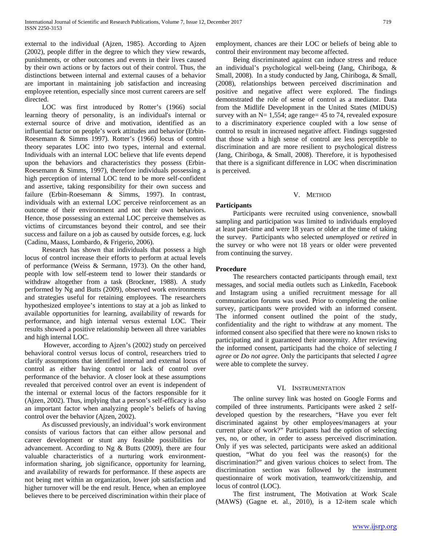external to the individual (Ajzen, 1985). According to Ajzen (2002), people differ in the degree to which they view rewards, punishments, or other outcomes and events in their lives caused by their own actions or by factors out of their control. Thus, the distinctions between internal and external causes of a behavior are important in maintaining job satisfaction and increasing employee retention, especially since most current careers are self directed.

 LOC was first introduced by Rotter's (1966) social learning theory of personality, is an individual's internal or external source of drive and motivation, identified as an influential factor on people's work attitudes and behavior (Erbin-Roesemann & Simms 1997). Rotter's (1966) locus of control theory separates LOC into two types, internal and external. Individuals with an internal LOC believe that life events depend upon the behaviors and characteristics they possess (Erbin-Roesemann & Simms, 1997), therefore individuals possessing a high perception of internal LOC tend to be more self-confident and assertive, taking responsibility for their own success and failure (Erbin-Roesemann & Simms, 1997). In contrast, individuals with an external LOC perceive reinforcement as an outcome of their environment and not their own behaviors. Hence, those possessing an external LOC perceive themselves as victims of circumstances beyond their control, and see their success and failure on a job as caused by outside forces, e.g. luck (Cadinu, Maass, Lombardo, & Frigerio, 2006).

 Research has shown that individuals that possess a high locus of control increase their efforts to perform at actual levels of performance (Weiss & Sermann, 1973). On the other hand, people with low self-esteem tend to lower their standards or withdraw altogether from a task (Brockner, 1988). A study performed by Ng and Butts (2009), observed work environments and strategies useful for retaining employees. The researchers hypothesized employee's intentions to stay at a job as linked to available opportunities for learning, availability of rewards for performance, and high internal versus external LOC. Their results showed a positive relationship between all three variables and high internal LOC.

 However, according to Ajzen's (2002) study on perceived behavioral control versus locus of control, researchers tried to clarify assumptions that identified internal and external locus of control as either having control or lack of control over performance of the behavior. A closer look at these assumptions revealed that perceived control over an event is independent of the internal or external locus of the factors responsible for it (Ajzen, 2002). Thus, implying that a person's self-efficacy is also an important factor when analyzing people's beliefs of having control over the behavior (Ajzen, 2002).

 As discussed previously, an individual's work environment consists of various factors that can either allow personal and career development or stunt any feasible possibilities for advancement. According to Ng & Butts (2009), there are four valuable characteristics of a nurturing work environmentinformation sharing, job significance, opportunity for learning, and availability of rewards for performance. If these aspects are not being met within an organization, lower job satisfaction and higher turnover will be the end result. Hence, when an employee believes there to be perceived discrimination within their place of employment, chances are their LOC or beliefs of being able to control their environment may become affected.

 Being discriminated against can induce stress and reduce an individual's psychological well-being (Jang, Chiriboga, & Small, 2008). In a study conducted by Jang, Chiriboga, & Small, (2008), relationships between perceived discrimination and positive and negative affect were explored. The findings demonstrated the role of sense of control as a mediator. Data from the Midlife Development in the United States (MIDUS) survey with an  $N= 1,554$ ; age range= 45 to 74, revealed exposure to a discriminatory experience coupled with a low sense of control to result in increased negative affect. Findings suggested that those with a high sense of control are less perceptible to discrimination and are more resilient to psychological distress (Jang, Chiriboga, & Small, 2008). Therefore, it is hypothesised that there is a significant difference in LOC when discrimination is perceived.

## V. METHOD

# **Participants**

 Participants were recruited using convenience, snowball sampling and participation was limited to individuals employed at least part-time and were 18 years or older at the time of taking the survey. Participants who selected *unemployed* or *retired* in the survey or who were not 18 years or older were prevented from continuing the survey.

## **Procedure**

 The researchers contacted participants through email, text messages, and social media outlets such as LinkedIn, Facebook and Instagram using a unified recruitment message for all communication forums was used. Prior to completing the online survey, participants were provided with an informed consent. The informed consent outlined the point of the study, confidentiality and the right to withdraw at any moment. The informed consent also specified that there were no known risks to participating and it guaranteed their anonymity. After reviewing the informed consent, participants had the choice of selecting *I agree* or *Do not agree*. Only the participants that selected *I agree* were able to complete the survey.

## VI. INSTRUMENTATION

 The online survey link was hosted on Google Forms and compiled of three instruments. Participants were asked 2 selfdeveloped question by the researchers, "Have you ever felt discriminated against by other employees/managers at your current place of work?" Participants had the option of selecting yes, no, or other, in order to assess perceived discrimination. Only if yes was selected, participants were asked an additional question, "What do you feel was the reason(s) for the discrimination?" and given various choices to select from. The discrimination section was followed by the instrument questionnaire of work motivation, teamwork/citizenship, and locus of control (LOC).

 The first instrument, The Motivation at Work Scale (MAWS) (Gagne et. al., 2010), is a 12-item scale which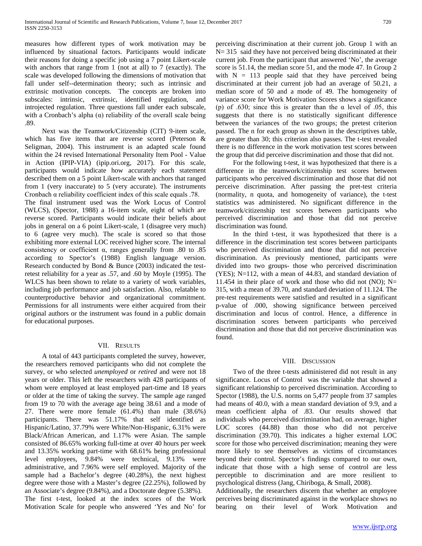measures how different types of work motivation may be influenced by situational factors. Participants would indicate their reasons for doing a specific job using a 7 point Likert-scale with anchors that range from 1 (not at all) to 7 (exactly). The scale was developed following the dimensions of motivation that fall under self--determination theory; such as intrinsic and extrinsic motivation concepts. The concepts are broken into subscales: intrinsic, extrinsic, identified regulation, and introjected regulation. Three questions fall under each subscale, with a Cronbach's alpha  $(\alpha)$  reliability of the overall scale being .89.

 Next was the Teamwork/Citizenship (CIT) 9-item scale, which has five items that are reverse scored (Peterson & Seligman, 2004). This instrument is an adapted scale found within the 24 revised International Personality Item Pool - Value in Action (IPIP-VIA) (ipip.ori.org, 2017). For this scale, participants would indicate how accurately each statement described them on a 5 point Likert-scale with anchors that ranged from 1 (very inaccurate) to 5 (very accurate). The instruments Cronbach  $\alpha$  reliability coefficient index of this scale equals .78. The final instrument used was the Work Locus of Control (WLCS), (Spector, 1988) a 16-item scale, eight of which are reverse scored. Participants would indicate their beliefs about jobs in general on a 6 point Likert-scale, 1 (disagree very much) to 6 (agree very much). The scale is scored so that those exhibiting more external LOC received higher score. The internal consistency or coefficient α, ranges generally from .80 to .85 according to Spector's (1988) English language version.

Research conducted by Bond & Bunce (2003) indicated the testretest reliability for a year as .57, and .60 by Moyle (1995). The WLCS has been shown to relate to a variety of work variables, including job performance and job satisfaction. Also, relatable to counterproductive behavior and organizational commitment. Permissions for all instruments were either acquired from their original authors or the instrument was found in a public domain for educational purposes.

# VII. RESULTS

 A total of 443 participants completed the survey, however, the researchers removed participants who did not complete the survey, or who selected *unemployed* or *retired* and were not 18 years or older. This left the researchers with 428 participants of whom were employed at least employed part-time and 18 years or older at the time of taking the survey. The sample age ranged from 19 to 70 with the average age being 38.61 and a mode of 27. There were more female (61.4%) than male (38.6%) participants. There was 51.17% that self identified as Hispanic/Latino, 37.79% were White/Non-Hispanic, 6.31% were Black/African American, and 1.17% were Asian. The sample consisted of 86.65% working full-time at over 40 hours per week and 13.35% working part-time with 68.61% being professional level employees, 9.84% were technical, 9.13% were administrative, and 7.96% were self employed. Majority of the sample had a Bachelor's degree (40.28%), the next highest degree were those with a Master's degree (22.25%), followed by an Associate's degree (9.84%), and a Doctorate degree (5.38%). The first t-test, looked at the index scores of the Work Motivation Scale for people who answered 'Yes and No' for perceiving discrimination at their current job. Group 1 with an N= 315 said they have not perceived being discriminated at their current job. From the participant that answered 'No', the average score is 51.14, the median score 51, and the mode 47. In Group 2 with  $N = 113$  people said that they have perceived being discriminated at their current job had an average of 50.21, a median score of 50 and a mode of 49. The homogeneity of variance score for Work Motivation Scores shows a significance (p) of .630; since this is greater than the  $\alpha$  level of .05, this suggests that there is no statistically significant difference between the variances of the two groups; the pretest criterion passed. The n for each group as shown in the descriptives table, are greater than 30; this criterion also passes. The t-test revealed there is no difference in the work motivation test scores between the group that did perceive discrimination and those that did not.

 For the following t-test, it was hypothesized that there is a difference in the teamwork/citizenship test scores between participants who perceived discrimination and those that did not perceive discrimination. After passing the pret-test criteria (normality, n quota, and homogeneity of variance), the t-test statistics was administered. No significant difference in the teamwork/citizenship test scores between participants who perceived discrimination and those that did not perceive discrimination was found.

 In the third t-test, it was hypothesized that there is a difference in the discrimination test scores between participants who perceived discrimination and those that did not perceive discrimination. As previously mentioned, participants were divided into two groups- those who perceived discrimination (YES); N=112, with a mean of 44.83, and standard deviation of 11.454 in their place of work and those who did not (NO);  $N=$ 315, with a mean of 39.70, and standard deviation of 11.124. The pre-test requirements were satisfied and resulted in a significant p-value of .000, showing significance between perceived discrimination and locus of control. Hence, a difference in discrimination scores between participants who perceived discrimination and those that did not perceive discrimination was found.

# VIII. DISCUSSION

 Two of the three t-tests administered did not result in any significance. Locus of Control was the variable that showed a significant relationship to perceived discrimination. According to Spector (1988), the U.S. norms on 5,477 people from 37 samples had means of 40.0, with a mean standard deviation of 9.9, and a mean coefficient alpha of .83. Our results showed that individuals who perceived discrimination had, on average, higher LOC scores (44.88) than those who did not perceive discrimination (39.70). This indicates a higher external LOC score for those who perceived discrimination; meaning they were more likely to see themselves as victims of circumstances beyond their control. Spector's findings compared to our own, indicate that those with a high sense of control are less perceptible to discrimination and are more resilient to psychological distress (Jang, Chiriboga, & Small, 2008).

Additionally, the researchers discern that whether an employee perceives being discriminated against in the workplace shows no bearing on their level of Work Motivation and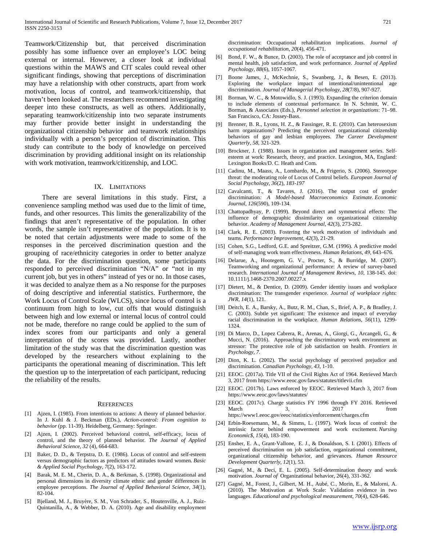Teamwork/Citizenship but, that perceived discrimination possibly has some influence over an employee's LOC being external or internal. However, a closer look at individual questions within the MAWS and CIT scales could reveal other significant findings, showing that perceptions of discrimination may have a relationship with other constructs, apart from work motivation, locus of control, and teamwork/citizenship, that haven't been looked at. The researchers recommend investigating deeper into these constructs, as well as others. Additionally, separating teamwork/citizenship into two separate instruments may further provide better insight in understanding the organizational citizenship behavior and teamwork relationships individually with a person's perception of discrimination. This study can contribute to the body of knowledge on perceived discrimination by providing additional insight on its relationship with work motivation, teamwork/citizenship, and LOC.

#### IX. LIMITATIONS

 There are several limitations in this study. First, a convenience sampling method was used due to the limit of time, funds, and other resources. This limits the generalizability of the findings that aren't representative of the population. In other words, the sample isn't representative of the population. It is to be noted that certain adjustments were made to some of the responses in the perceived discrimination question and the grouping of race/ethnicity categories in order to better analyze the data. For the discrimination question, some participants responded to perceived discrimination "N/A" or "not in my current job, but yes in others" instead of yes or no. In those cases, it was decided to analyze them as a No response for the purposes of doing descriptive and inferential statistics. Furthermore, the Work Locus of Control Scale (WLCS), since locus of control is a continuum from high to low, cut offs that would distinguish between high and low external or internal locus of control could not be made, therefore no range could be applied to the sum of index scores from our participants and only a general interpretation of the scores was provided. Lastly, another limitation of the study was that the discrimination question was developed by the researchers without explaining to the participants the operational meaning of discrimination. This left the question up to the interpretation of each participant, reducing the reliability of the results.

#### **REFERENCES**

- [1] Ajzen, I. (1985). From intentions to actions: A theory of planned behavior. In J. Kuhl & J. Beckman (EDs.), *Action-control: From cognition to behavior* (pp. 11-39). Heidelberg, Germany: Springer.
- [2] Ajzen, I. (2002). Perceived behavioral control, self-efficacy, locus of control, and the theory of planned behavior. *The Journal of Applied Behavioral Science, 32* (4), 664-683.
- [3] Baker, D. D., & Terpstra, D. E. (1986). Locus of control and self-esteem versus demographic factors as predictors of attitudes toward women*. Basic & Applied Social Psychology, 7*(2), 163-172.
- [4] Barak, M. E. M., Cherin, D. A., & Berkman, S. (1998). Organizational and personal dimensions in diversity climate ethnic and gender differences in employee perceptions. *The Journal of Applied Behavioral Science*, *34*(1), 82-104.
- [5] Bjelland, M. J., Bruyère, S. M., Von Schrader, S., Houtenville, A. J., Ruiz-Quintanilla, A., & Webber, D. A. (2010). Age and disability employment

discrimination: Occupational rehabilitation implications. *Journal of occupational rehabilitation*, *20*(4), 456-471.

- [6] Bond, F. W., & Bunce, D. (2003). The role of acceptance and job control in mental health, job satisfaction, and work performance. *Journal of Applied Psychology, 88*(6), 1057-1067.
- [7] Boone James, J., McKechnie, S., Swanberg, J., & Besen, E. (2013). Exploring the workplace impact of intentional/unintentional age discrimination. *Journal of Managerial Psychology*, *28*(7/8), 907-927.
- [8] Borman, W. C., & Motowidlo, S. J. (1993). Expanding the criterion domain to include elements of contextual performance. In N. Schmitt, W. C. Borman, & Associates (Eds.), *Personnel selection in organizations*: 71–98. San Francisco, CA: Jossey-Bass.
- [9] Brenner, B. R., Lyons, H. Z., & Fassinger, R. E. (2010). Can heterosexism harm organizations? Predicting the perceived organizational citizenship behaviors of gay and lesbian employees. *The Career Development Quarterly, 58*, 321-329.
- [10] Brockner, J. (1988). Issues in organization and management series. Selfesteem at work: Research, theory, and practice. Lexington, MA, England: Lexington Books/D. C. Heath and Com.
- [11] Cadinu, M., Maass, A., Lombardo, M., & Frigerio, S. (2006). Stereotype threat: the moderating role of Locus of Control beliefs*. European Journal of Social Psychology, 36*(2), *183-197*
- [12] Cavalcanti, T., & Tavares, J. (2016). The output cost of gender discrimination*: A Model-based Macroeconomics Estimate. Economic Journal, 126*(590), 109-134.
- [13] Chattopadhyay, P. (1999). Beyond direct and symmetrical effects: The influence of demographic dissimilarity on organizational citizenship behavior. *Academy of Management Journal, 42*(3), 273-282.
- [14] Clark, R. E. (2003). Fostering the work motivation of individuals and teams. *Performance Improvement*, *42*(3), 21-29.
- [15] Cohen, S.G., Ledford, G.E. and Spreitzer, G.M. (1996). A predictive model of self-managing work team effectiveness. *Human Relations*, *49*, 643–676.
- [16] Delarue, A., Hootegem, G. V., Procter, S., & Burridge, M. (2007). Teamworking and organizational performance: A review of survey-based research. *International Journal of Management Reviews, 10,* 138-145. doi: 10.1111/j.1468-2370.2007.00227.x
- [17] Dietert, M., & Dentice, D. (2009). Gender identity issues and workplace discrimination: The transgender experience. *Journal of workplace rights*: *JWR*, *14*(1), 121.
- [18] Deitch, E. A., Barsky, A., Butz, R. M., Chan, S., Brief, A. P., & Bradley, J. C. (2003). Subtle yet significant: The existence and impact of everyday racial discrimination in the workplace. *Human Relations*, *56*(11), 1299- 1324.
- [19] Di Marco, D., Lopez Cabrera, R., Arenas, A., Giorgi, G., Arcangeli, G., & Mucci, N. (2016). Approaching the discriminatory work environment as stressor: The protective role of job satisfaction on health. *Frontiers in Psychology, 7.*
- [20] Dion, K. L. (2002). The social psychology of perceived prejudice and discrimination. *Canadian Psychology, 43,* 1-10.
- [21] EEOC. (2017a). Title VII of the Civil Rights Act of 1964. Retrieved March 3, 2017 from https://www.eeoc.gov/laws/statutes/titlevii.cfm
- [22] EEOC. (2017b). Laws enforced by EEOC. Retrieved March 3, 2017 from https://www.eeoc.gov/laws/statutes/
- [23] EEOC. (2017c). Charge statistics FY 1996 through FY 2016. Retrieved March 3, 2017 from https://www1.eeoc.gov/eeoc/statistics/enforcement/charges.cfm
- [24] Erbin-Roesemann, M., & Simms, L. (1997). Work locus of control: the intrinsic factor behind empowerment and work excitement*. Nursing Economic\$, 15*(4), 183-190.
- [25] Ensher, E. A., Grant-Vallone, E. J., & Donaldson, S. I. (2001). Effects of perceived discrimination on job satisfaction, organizational commitment, organizational citizenship behavior, and grievances. *Human Resource Development Quarterly, 12*(1), 53.
- [26] Gagné, M., & Deci, E. L. (2005). Self-determination theory and work motivation. *Journal of* Organizational behavior, 26(4), 331-362.
- [27] Gagné, M., Forest, J., Gilbert, M. H., Aubé, C., Morin, E., & Malorni, A. (2010). The Motivation at Work Scale: Validation evidence in two languages. *Educational and psychological measurement*, *70*(4), 628-646.